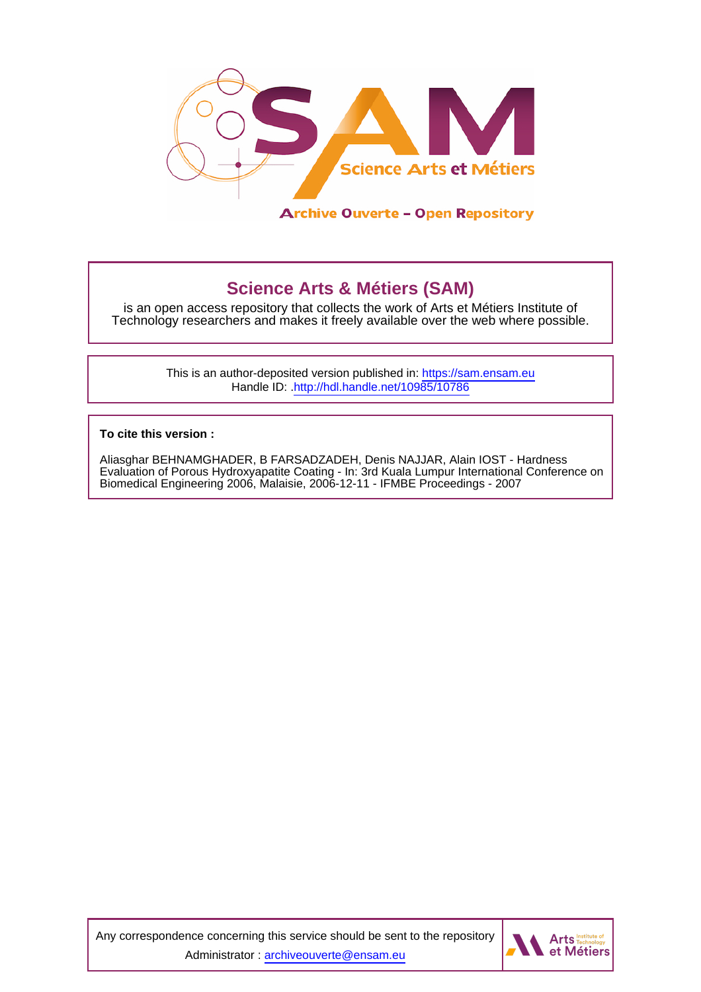

# **Science Arts & Métiers (SAM)**

is an open access repository that collects the work of Arts et Métiers Institute of Technology researchers and makes it freely available over the web where possible.

> This is an author-deposited version published in:<https://sam.ensam.eu> Handle ID: [.http://hdl.handle.net/10985/10786](http://hdl.handle.net/10985/10786)

**To cite this version :**

Aliasghar BEHNAMGHADER, B FARSADZADEH, Denis NAJJAR, Alain IOST - Hardness Evaluation of Porous Hydroxyapatite Coating - In: 3rd Kuala Lumpur International Conference on Biomedical Engineering 2006, Malaisie, 2006-12-11 - IFMBE Proceedings - 2007

Any correspondence concerning this service should be sent to the repository Administrator : [archiveouverte@ensam.eu](mailto:archiveouverte@ensam.eu)

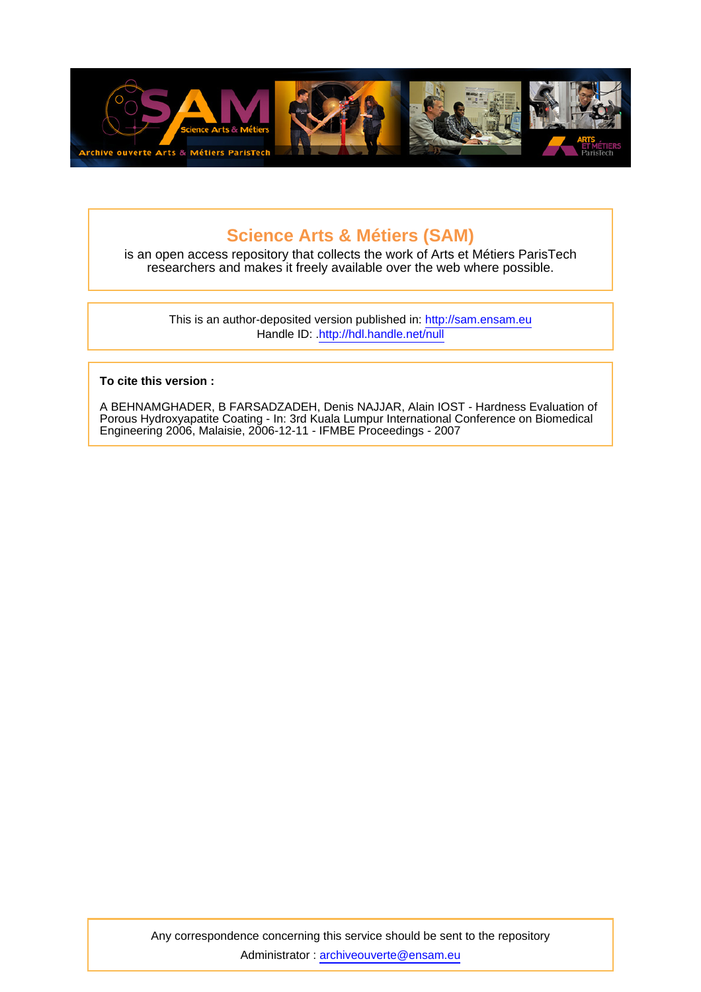

# **Science Arts & Métiers (SAM)**

is an open access repository that collects the work of Arts et Métiers ParisTech researchers and makes it freely available over the web where possible.

This is an author-deposited version published in: <http://sam.ensam.eu> Handle ID: .<http://hdl.handle.net/null>

### **To cite this version :**

A BEHNAMGHADER, B FARSADZADEH, Denis NAJJAR, Alain IOST - Hardness Evaluation of Porous Hydroxyapatite Coating - In: 3rd Kuala Lumpur International Conference on Biomedical Engineering 2006, Malaisie, 2006-12-11 - IFMBE Proceedings - 2007

Any correspondence concerning this service should be sent to the repository Administrator : [archiveouverte@ensam.eu](mailto:archiveouverte@ensam.eu)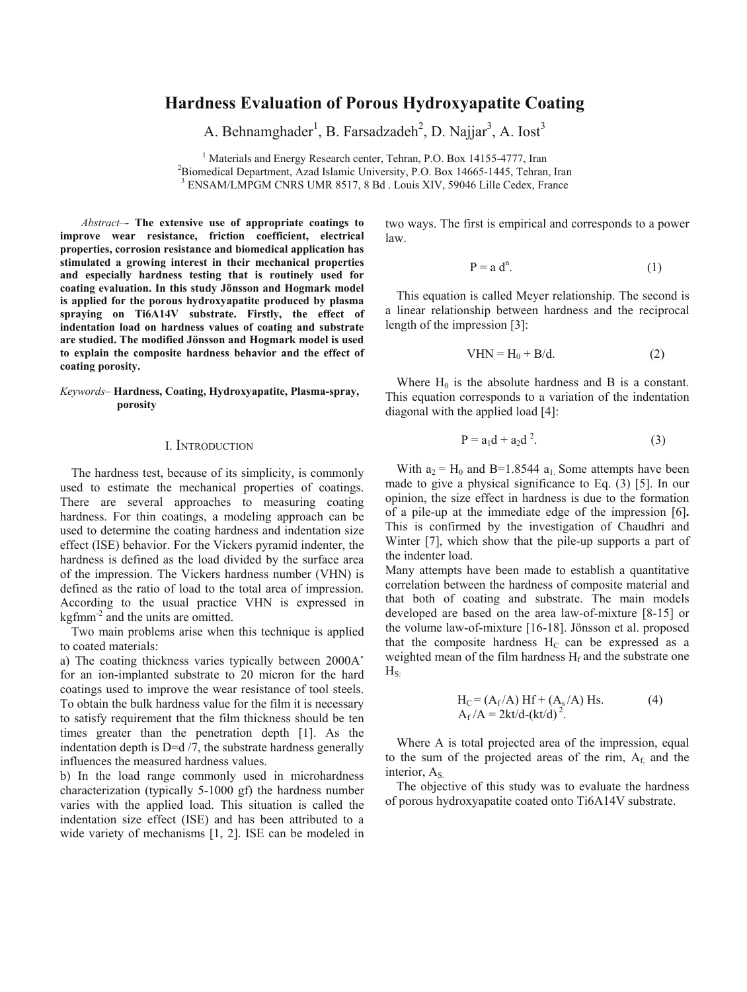## **Hardness Evaluation of Porous Hydroxyapatite Coating**

A. Behnamghader<sup>1</sup>, B. Farsadzadeh<sup>2</sup>, D. Najjar<sup>3</sup>, A. Iost<sup>3</sup>

<sup>1</sup> Materials and Energy Research center, Tehran, P.O. Box 14155-4777, Iran <sup>2</sup> Biomedical Department, Azad Islamic University, P.O. Box 14665, 1445. Tehran Biomedical Department, Azad Islamic University, P.O. Box 14665-1445, Tehran, Iran 3 ENIS AM/LADGM CNDS UMD 8517 8 Bd. J onis XIV, 50046 Lille Codey, France ENSAM/LMPGM CNRS UMR 8517, 8 Bd . Louis XIV, 59046 Lille Cedex, France

*Abstract–-* **The extensive use of appropriate coatings to improve wear resistance, friction coefficient, electrical properties, corrosion resistance and biomedical application has stimulated a growing interest in their mechanical properties and especially hardness testing that is routinely used for coating evaluation. In this study Jönsson and Hogmark model is applied for the porous hydroxyapatite produced by plasma spraying on Ti6A14V substrate. Firstly, the effect of indentation load on hardness values of coating and substrate are studied. The modified Jönsson and Hogmark model is used to explain the composite hardness behavior and the effect of coating porosity.** 

#### *Keywords–* **Hardness, Coating, Hydroxyapatite, Plasma-spray, porosity**

#### I. INTRODUCTION

The hardness test, because of its simplicity, is commonly used to estimate the mechanical properties of coatings. There are several approaches to measuring coating hardness. For thin coatings, a modeling approach can be used to determine the coating hardness and indentation size effect (ISE) behavior. For the Vickers pyramid indenter, the hardness is defined as the load divided by the surface area of the impression. The Vickers hardness number (VHN) is defined as the ratio of load to the total area of impression. According to the usual practice VHN is expressed in kgfmm<sup>-2</sup> and the units are omitted.

Two main problems arise when this technique is applied to coated materials:

a) The coating thickness varies typically between 2000A˚ for an ion-implanted substrate to 20 micron for the hard coatings used to improve the wear resistance of tool steels. To obtain the bulk hardness value for the film it is necessary to satisfy requirement that the film thickness should be ten times greater than the penetration depth [1]. As the indentation depth is  $D=d/7$ , the substrate hardness generally influences the measured hardness values.

b) In the load range commonly used in microhardness characterization (typically 5-1000 gf) the hardness number varies with the applied load. This situation is called the indentation size effect (ISE) and has been attributed to a wide variety of mechanisms [1, 2]. ISE can be modeled in two ways. The first is empirical and corresponds to a power law.

$$
P = a dn.
$$
 (1)

This equation is called Meyer relationship. The second is a linear relationship between hardness and the reciprocal length of the impression [3]:

$$
VHN = H_0 + B/d. \tag{2}
$$

Where  $H_0$  is the absolute hardness and B is a constant. This equation corresponds to a variation of the indentation diagonal with the applied load [4]:

$$
P = a_1 d + a_2 d^2. \tag{3}
$$

With  $a_2 = H_0$  and B=1.8544  $a_1$ . Some attempts have been made to give a physical significance to Eq. (3) [5]. In our opinion, the size effect in hardness is due to the formation of a pile-up at the immediate edge of the impression [6]**.** This is confirmed by the investigation of Chaudhri and Winter [7], which show that the pile-up supports a part of the indenter load.

Many attempts have been made to establish a quantitative correlation between the hardness of composite material and that both of coating and substrate. The main models developed are based on the area law-of-mixture [8-15] or the volume law-of-mixture [16-18]. Jönsson et al. proposed that the composite hardness  $H_C$  can be expressed as a weighted mean of the film hardness  $H_f$  and the substrate one  $H_s$ 

$$
H_C = (A_f/A) Hf + (A_s/A) Hs.
$$
  
\n
$$
A_f/A = 2kt/d-(kt/d)^2.
$$
 (4)

Where A is total projected area of the impression, equal to the sum of the projected areas of the rim,  $A_f$  and the interior, A<sub>S</sub>.

The objective of this study was to evaluate the hardness of porous hydroxyapatite coated onto Ti6A14V substrate.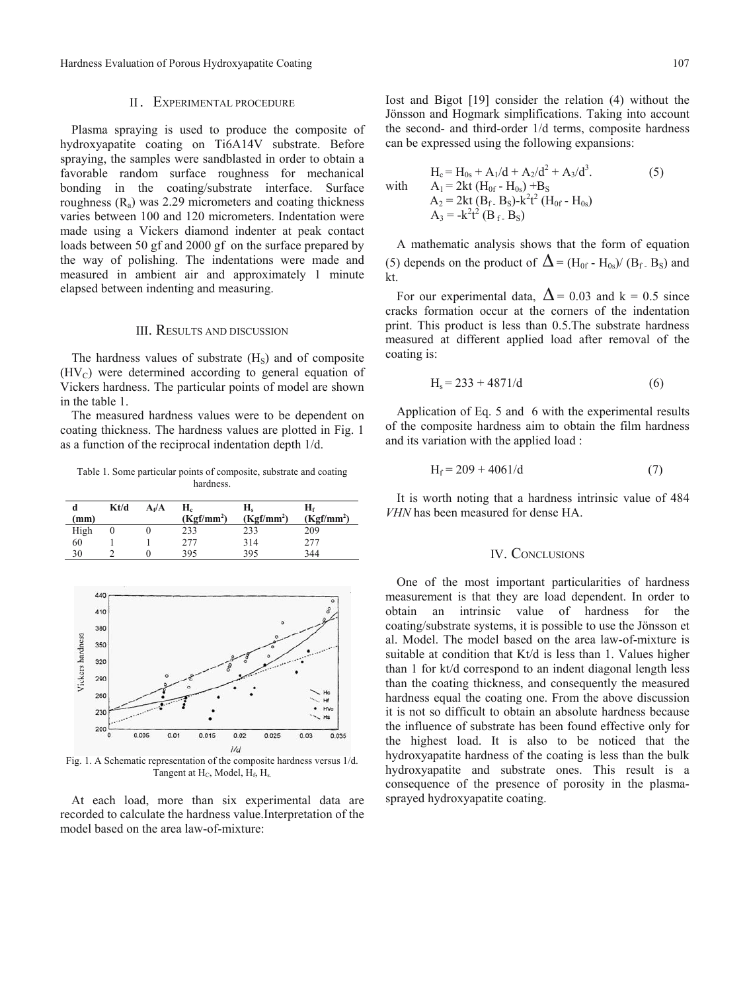Hardness Evaluation of Porous Hydroxyapatite Coating 107

#### II. EXPERIMENTAL PROCEDURE

Plasma spraying is used to produce the composite of hydroxyapatite coating on Ti6A14V substrate. Before spraying, the samples were sandblasted in order to obtain a favorable random surface roughness for mechanical bonding in the coating/substrate interface. Surface roughness  $(R<sub>a</sub>)$  was 2.29 micrometers and coating thickness varies between 100 and 120 micrometers. Indentation were made using a Vickers diamond indenter at peak contact loads between 50 gf and 2000 gf on the surface prepared by the way of polishing. The indentations were made and measured in ambient air and approximately 1 minute elapsed between indenting and measuring.

#### III. RESULTS AND DISCUSSION

The hardness values of substrate  $(H<sub>s</sub>)$  and of composite  $(HV_C)$  were determined according to general equation of Vickers hardness. The particular points of model are shown in the table 1.

The measured hardness values were to be dependent on coating thickness. The hardness values are plotted in Fig. 1 as a function of the reciprocal indentation depth 1/d.

Table 1. Some particular points of composite, substrate and coating hardness.

| d<br>(mm) | Kt/d | $A_f/A$ | Н.<br>$(Kgf/mm^2)$ | Н.<br>$(Kgf/mm^2)$ | H٤<br>$(Kgf/mm^2)$ |
|-----------|------|---------|--------------------|--------------------|--------------------|
| High      |      |         | 233                | 233                | 209                |
| 60        |      |         | 2.77               | 314                |                    |
| 30        |      |         | 395                | 395                | 344                |



Fig. 1. A Schematic representation of the composite hardness versus 1/d. Tangent at H<sub>C</sub>, Model, H<sub>f</sub>, H<sub>s</sub>

At each load, more than six experimental data are recorded to calculate the hardness value.Interpretation of the model based on the area law-of-mixture:

Iost and Bigot [19] consider the relation (4) without the Jönsson and Hogmark simplifications. Taking into account the second- and third-order 1/d terms, composite hardness can be expressed using the following expansions:

$$
H_c = H_{0s} + A_1/d + A_2/d^2 + A_3/d^3.
$$
  
\nwith  $A_1 = 2kt (H_{0f} - H_{0s}) + B_s$   
\n $A_2 = 2kt (B_f - B_s) - k^2t^2 (H_{0f} - H_{0s})$   
\n $A_3 = -k^2t^2 (B_f - B_s)$  (5)

A mathematic analysis shows that the form of equation (5) depends on the product of  $\Delta = (H_{0f} - H_{0s})/(B_f, B_s)$  and  $kt$ 

For our experimental data,  $\Delta$  = 0.03 and k = 0.5 since cracks formation occur at the corners of the indentation print. This product is less than 0.5.The substrate hardness measured at different applied load after removal of the coating is:

$$
H_s = 233 + 4871/d
$$
 (6)

Application of Eq. 5 and 6 with the experimental results of the composite hardness aim to obtain the film hardness and its variation with the applied load :

$$
H_f = 209 + 4061/d
$$
 (7)

It is worth noting that a hardness intrinsic value of 484 *VHN* has been measured for dense HA.

### IV. CONCLUSIONS

One of the most important particularities of hardness measurement is that they are load dependent. In order to obtain an intrinsic value of hardness for the coating/substrate systems, it is possible to use the Jönsson et al. Model. The model based on the area law-of-mixture is suitable at condition that Kt/d is less than 1. Values higher than 1 for kt/d correspond to an indent diagonal length less than the coating thickness, and consequently the measured hardness equal the coating one. From the above discussion it is not so difficult to obtain an absolute hardness because the influence of substrate has been found effective only for the highest load. It is also to be noticed that the hydroxyapatite hardness of the coating is less than the bulk hydroxyapatite and substrate ones. This result is a consequence of the presence of porosity in the plasmasprayed hydroxyapatite coating.